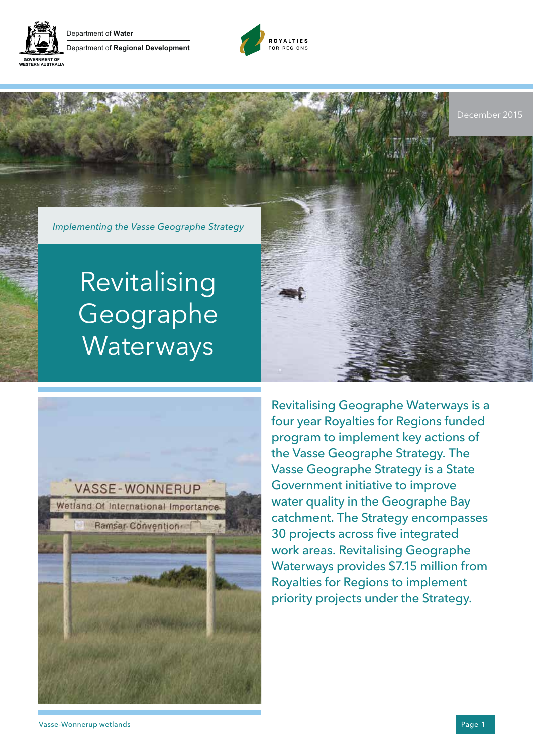

Department of **Water** Department of **Regional Development**





# Revitalising Geographe **Waterways**



Revitalising Geographe Waterways is a four year Royalties for Regions funded program to implement key actions of the Vasse Geographe Strategy. The Vasse Geographe Strategy is a State Government initiative to improve water quality in the Geographe Bay catchment. The Strategy encompasses 30 projects across five integrated work areas. Revitalising Geographe Waterways provides \$7.15 million from Royalties for Regions to implement priority projects under the Strategy.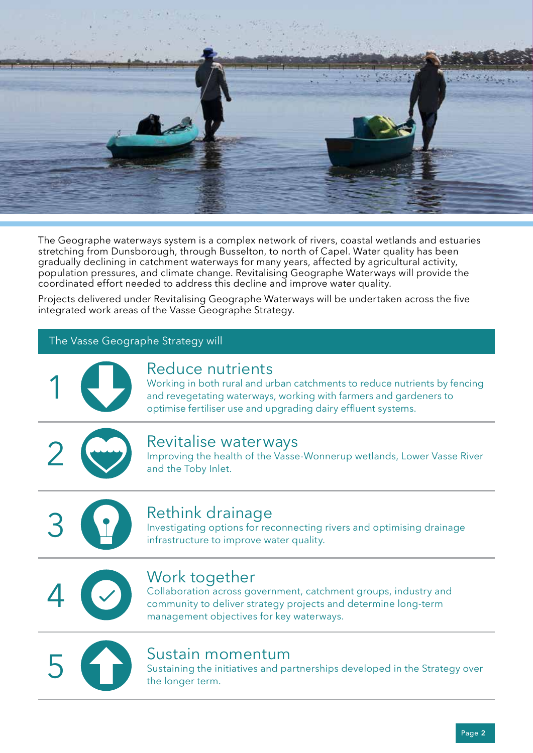

The Geographe waterways system is a complex network of rivers, coastal wetlands and estuaries stretching from Dunsborough, through Busselton, to north of Capel. Water quality has been gradually declining in catchment waterways for many years, affected by agricultural activity, population pressures, and climate change. Revitalising Geographe Waterways will provide the coordinated effort needed to address this decline and improve water quality.

Projects delivered under Revitalising Geographe Waterways will be undertaken across the five integrated work areas of the Vasse Geographe Strategy.

#### The Vasse Geographe Strategy will



### Reduce nutrients

Working in both rural and urban catchments to reduce nutrients by fencing and revegetating waterways, working with farmers and gardeners to optimise fertiliser use and upgrading dairy effluent systems.



#### Revitalise waterways

Improving the health of the Vasse-Wonnerup wetlands, Lower Vasse River and the Toby Inlet.



## Rethink drainage

Investigating options for reconnecting rivers and optimising drainage infrastructure to improve water quality.



## Work together

Collaboration across government, catchment groups, industry and community to deliver strategy projects and determine long-term management objectives for key waterways.



#### Sustain momentum

Sustaining the initiatives and partnerships developed in the Strategy over the longer term.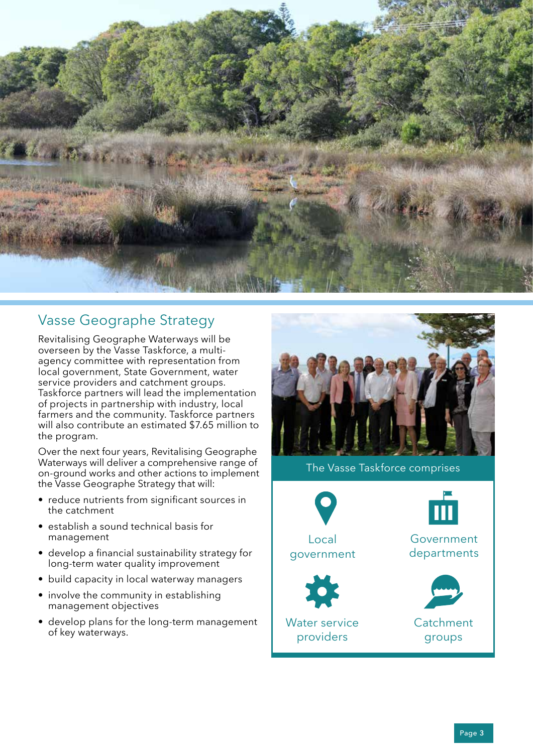

## Vasse Geographe Strategy

Revitalising Geographe Waterways will be overseen by the Vasse Taskforce, a multiagency committee with representation from local government, State Government, water service providers and catchment groups. Taskforce partners will lead the implementation of projects in partnership with industry, local farmers and the community. Taskforce partners will also contribute an estimated \$7.65 million to the program.

Over the next four years, Revitalising Geographe Waterways will deliver a comprehensive range of on-ground works and other actions to implement the Vasse Geographe Strategy that will:

- reduce nutrients from significant sources in the catchment
- establish a sound technical basis for management
- develop a financial sustainability strategy for long-term water quality improvement
- build capacity in local waterway managers
- involve the community in establishing management objectives
- develop plans for the long-term management of key waterways.



The Vasse Taskforce comprises





Water service providers



Government departments



**Catchment** groups